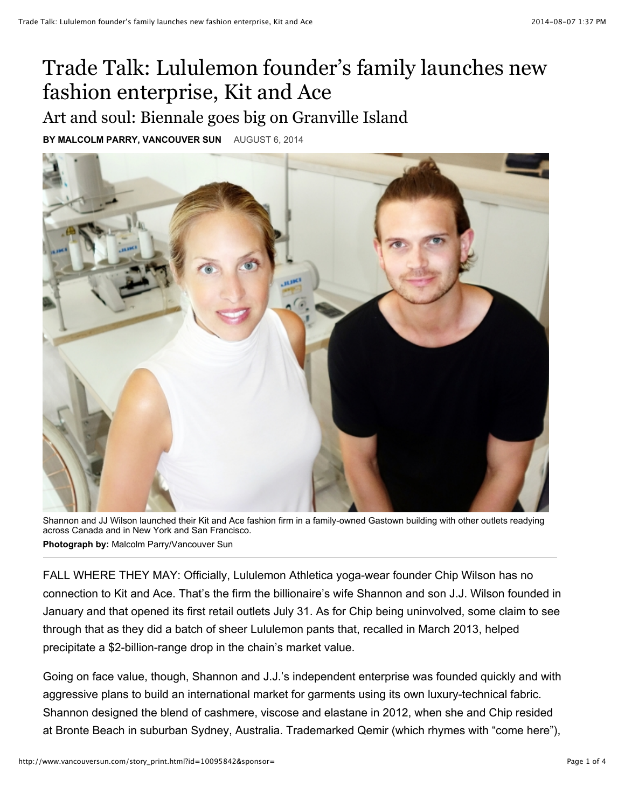## Trade Talk: Lululemon founder's family launches new fashion enterprise, Kit and Ace

## Art and soul: Biennale goes big on Granville Island

**BY MALCOLM PARRY, VANCOUVER SUN** AUGUST 6, 2014



Shannon and JJ Wilson launched their Kit and Ace fashion firm in a family-owned Gastown building with other outlets readying across Canada and in New York and San Francisco. **Photograph by:** Malcolm Parry/Vancouver Sun

FALL WHERE THEY MAY: Officially, Lululemon Athletica yoga-wear founder Chip Wilson has no connection to Kit and Ace. That's the firm the billionaire's wife Shannon and son J.J. Wilson founded in January and that opened its first retail outlets July 31. As for Chip being uninvolved, some claim to see through that as they did a batch of sheer Lululemon pants that, recalled in March 2013, helped precipitate a \$2-billion-range drop in the chain's market value.

Going on face value, though, Shannon and J.J.'s independent enterprise was founded quickly and with aggressive plans to build an international market for garments using its own luxury-technical fabric. Shannon designed the blend of cashmere, viscose and elastane in 2012, when she and Chip resided at Bronte Beach in suburban Sydney, Australia. Trademarked Qemir (which rhymes with "come here"),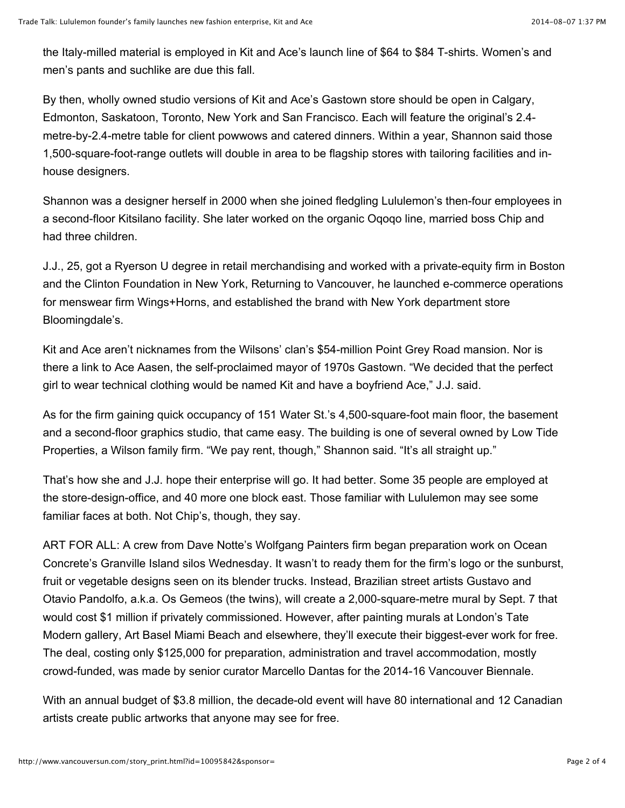the Italy-milled material is employed in Kit and Ace's launch line of \$64 to \$84 T-shirts. Women's and men's pants and suchlike are due this fall.

By then, wholly owned studio versions of Kit and Ace's Gastown store should be open in Calgary, Edmonton, Saskatoon, Toronto, New York and San Francisco. Each will feature the original's 2.4 metre-by-2.4-metre table for client powwows and catered dinners. Within a year, Shannon said those 1,500-square-foot-range outlets will double in area to be flagship stores with tailoring facilities and inhouse designers.

Shannon was a designer herself in 2000 when she joined fledgling Lululemon's then-four employees in a second-floor Kitsilano facility. She later worked on the organic Oqoqo line, married boss Chip and had three children.

J.J., 25, got a Ryerson U degree in retail merchandising and worked with a private-equity firm in Boston and the Clinton Foundation in New York, Returning to Vancouver, he launched e-commerce operations for menswear firm Wings+Horns, and established the brand with New York department store Bloomingdale's.

Kit and Ace aren't nicknames from the Wilsons' clan's \$54-million Point Grey Road mansion. Nor is there a link to Ace Aasen, the self-proclaimed mayor of 1970s Gastown. "We decided that the perfect girl to wear technical clothing would be named Kit and have a boyfriend Ace," J.J. said.

As for the firm gaining quick occupancy of 151 Water St.'s 4,500-square-foot main floor, the basement and a second-floor graphics studio, that came easy. The building is one of several owned by Low Tide Properties, a Wilson family firm. "We pay rent, though," Shannon said. "It's all straight up."

That's how she and J.J. hope their enterprise will go. It had better. Some 35 people are employed at the store-design-office, and 40 more one block east. Those familiar with Lululemon may see some familiar faces at both. Not Chip's, though, they say.

ART FOR ALL: A crew from Dave Notte's Wolfgang Painters firm began preparation work on Ocean Concrete's Granville Island silos Wednesday. It wasn't to ready them for the firm's logo or the sunburst, fruit or vegetable designs seen on its blender trucks. Instead, Brazilian street artists Gustavo and Otavio Pandolfo, a.k.a. Os Gemeos (the twins), will create a 2,000-square-metre mural by Sept. 7 that would cost \$1 million if privately commissioned. However, after painting murals at London's Tate Modern gallery, Art Basel Miami Beach and elsewhere, they'll execute their biggest-ever work for free. The deal, costing only \$125,000 for preparation, administration and travel accommodation, mostly crowd-funded, was made by senior curator Marcello Dantas for the 2014-16 Vancouver Biennale.

With an annual budget of \$3.8 million, the decade-old event will have 80 international and 12 Canadian artists create public artworks that anyone may see for free.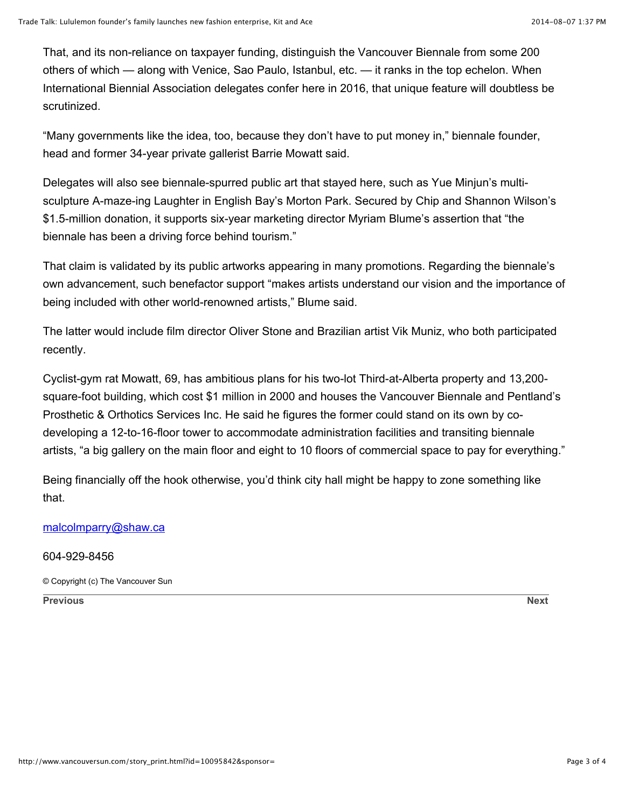That, and its non-reliance on taxpayer funding, distinguish the Vancouver Biennale from some 200 others of which — along with Venice, Sao Paulo, Istanbul, etc. — it ranks in the top echelon. When International Biennial Association delegates confer here in 2016, that unique feature will doubtless be scrutinized.

"Many governments like the idea, too, because they don't have to put money in," biennale founder, head and former 34-year private gallerist Barrie Mowatt said.

Delegates will also see biennale-spurred public art that stayed here, such as Yue Minjun's multisculpture A-maze-ing Laughter in English Bay's Morton Park. Secured by Chip and Shannon Wilson's \$1.5-million donation, it supports six-year marketing director Myriam Blume's assertion that "the biennale has been a driving force behind tourism."

That claim is validated by its public artworks appearing in many promotions. Regarding the biennale's own advancement, such benefactor support "makes artists understand our vision and the importance of being included with other world-renowned artists," Blume said.

The latter would include film director Oliver Stone and Brazilian artist Vik Muniz, who both participated recently.

Cyclist-gym rat Mowatt, 69, has ambitious plans for his two-lot Third-at-Alberta property and 13,200 square-foot building, which cost \$1 million in 2000 and houses the Vancouver Biennale and Pentland's Prosthetic & Orthotics Services Inc. He said he figures the former could stand on its own by codeveloping a 12-to-16-floor tower to accommodate administration facilities and transiting biennale artists, "a big gallery on the main floor and eight to 10 floors of commercial space to pay for everything."

Being financially off the hook otherwise, you'd think city hall might be happy to zone something like that.

## [malcolmparry@shaw.ca](mailto:malcolmparry@shaw.ca)

## 604-929-8456

© Copyright (c) The Vancouver Sun

**[Previous](javascript:viewPhoto(5,5,) [Next](javascript:viewPhoto(2,5,)**